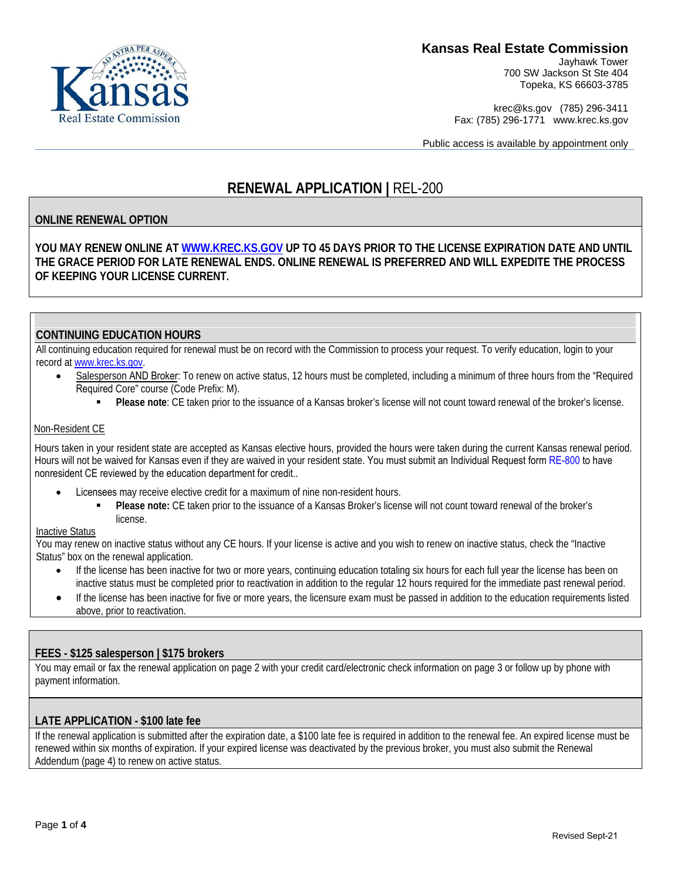### **Kansas Real Estate Commission**

Jayhawk Tower 700 SW Jackson St Ste 404 Topeka, KS 66603-3785

krec@ks.gov (785) 296-3411 Fax: (785) 296-1771 www.krec.ks.gov

Public access is available by appointment only

# **RENEWAL APPLICATION |** REL-200

### **ONLINE RENEWAL OPTION**

**YOU MAY RENEW ONLINE AT [WWW.KREC.KS.GOV](http://www.krec.ks.gov/) UP TO 45 DAYS PRIOR TO THE LICENSE EXPIRATION DATE AND UNTIL THE GRACE PERIOD FOR LATE RENEWAL ENDS. ONLINE RENEWAL IS PREFERRED AND WILL EXPEDITE THE PROCESS OF KEEPING YOUR LICENSE CURRENT.** 

### **CONTINUING EDUCATION HOURS**

All continuing education required for renewal must be on record with the Commission to process your request. To verify education, login to your record at www.krec.ks.gov.

- Salesperson AND Broker: To renew on active status, 12 hours must be completed, including a minimum of three hours from the "Kansas Required Core" course (Code Prefix: M).
	- **Please note**: CE taken prior to the issuance of a Kansas broker's license will not count toward renewal of the broker's license.

#### Non-Resident CE

Hours taken in your resident state are accepted as Kansas elective hours, provided the hours were taken during the current Kansas renewal period. Hours will not be waived for Kansas even if they are waived in your resident state. You must submit an Individual Request form [RE-800](https://krec.ks.gov/docs/default-source/forms/re-800-individual-request-form.pdf?sfvrsn=f0386ca3_32) to have nonresident CE reviewed by the education department for credit..

- Licensees may receive elective credit for a maximum of nine non-resident hours.
	- **Please note:** CE taken prior to the issuance of a Kansas Broker's license will not count toward renewal of the broker's license.

#### Inactive Status

You may renew on inactive status without any CE hours. If your license is active and you wish to renew on inactive status, check the "Inactive Status" box on the renewal application.

- If the license has been inactive for two or more years, continuing education totaling six hours for each full year the license has been on inactive status must be completed prior to reactivation in addition to the regular 12 hours required for the immediate past renewal period.
- If the license has been inactive for five or more years, the licensure exam must be passed in addition to the education requirements listed above, prior to reactivation.

#### **FEES - \$125 salesperson | \$175 brokers**

You may email or fax the renewal application on page 2 with your credit card/electronic check information on page 3 or follow up by phone with payment information.

#### **LATE APPLICATION - \$100 late fee**

If the renewal application is submitted after the expiration date, a \$100 late fee is required in addition to the renewal fee. An expired license must be renewed within six months of expiration. If your expired license was deactivated by the previous broker, you must also submit the Renewal Addendum (page 4) to renew on active status.



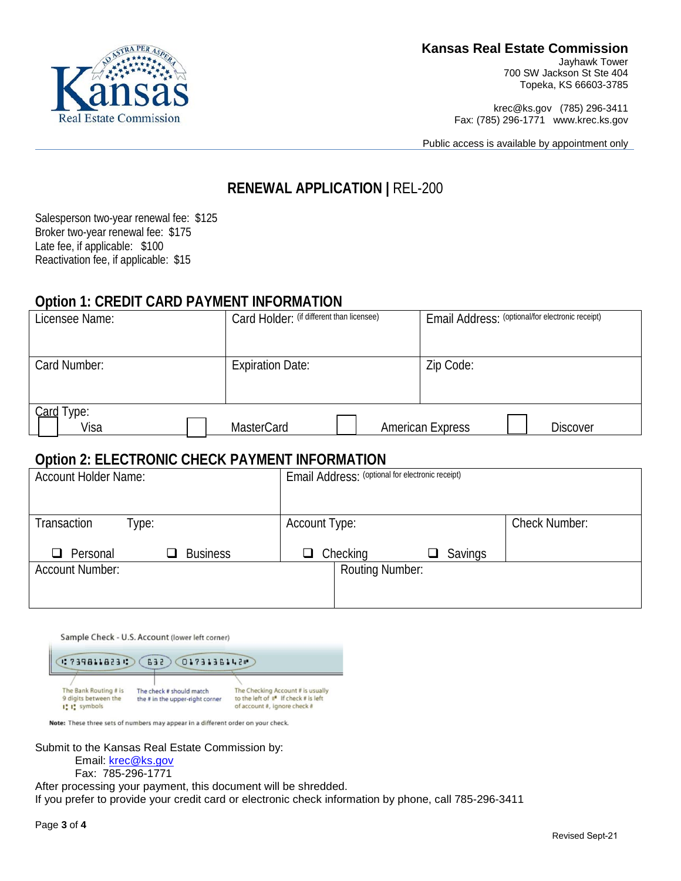

Jayhawk Tower 700 SW Jackson St Ste 404 Topeka, KS 66603-3785

krec@ks.gov (785) 296-3411 Fax: (785) 296-1771 www.krec.ks.gov

Public access is available by appointment only

## **RENEWAL APPLICATION |** REL-200

Salesperson two-year renewal fee: \$125 Broker two-year renewal fee: \$175 Late fee, if applicable: \$100

### **Option 1: CREDIT CARD PAYMENT INFORMATION**

| Licensee Name:        | Card Holder: (if different than licensee) | Email Address: (optional/for electronic receipt) |  |
|-----------------------|-------------------------------------------|--------------------------------------------------|--|
|                       |                                           |                                                  |  |
| Card Number:          | <b>Expiration Date:</b>                   | Zip Code:                                        |  |
|                       |                                           |                                                  |  |
| Card<br>Гуре:<br>Visa | <b>MasterCard</b>                         | <b>American Express</b><br><b>Discover</b>       |  |

# **Option 2: ELECTRONIC CHECK PAYMENT INFORMATION**

| <b>Account Holder Name:</b>        | Email Address: (optional for electronic receipt) |                      |
|------------------------------------|--------------------------------------------------|----------------------|
|                                    |                                                  |                      |
| Transaction<br>Гуре:               | <b>Account Type:</b>                             | <b>Check Number:</b> |
| <b>Business</b><br>$\Box$ Personal | $\Box$ Checking<br>Savings                       |                      |
| <b>Account Number:</b>             | <b>Routing Number:</b>                           |                      |
|                                    |                                                  |                      |

Sample Check - U.S. Account (lower left corner)

(17398118231) (632) 01731361421) The Bank Routing # is The Checking Account # is usually The check # should match to the left of  $\mathbf{II}^{\bullet}$  If check # is left<br>of account #, ignore check # 9 digits between the the # in the upper-right corner I'l symbols

Note: These three sets of numbers may appear in a different order on your check.

Submit to the Kansas Real Estate Commission by:

Email: [krec@ks.gov](mailto:krec@ks.gov)

Fax: 785-296-1771

After processing your payment, this document will be shredded.

If you prefer to provide your credit card or electronic check information by phone, call 785-296-3411